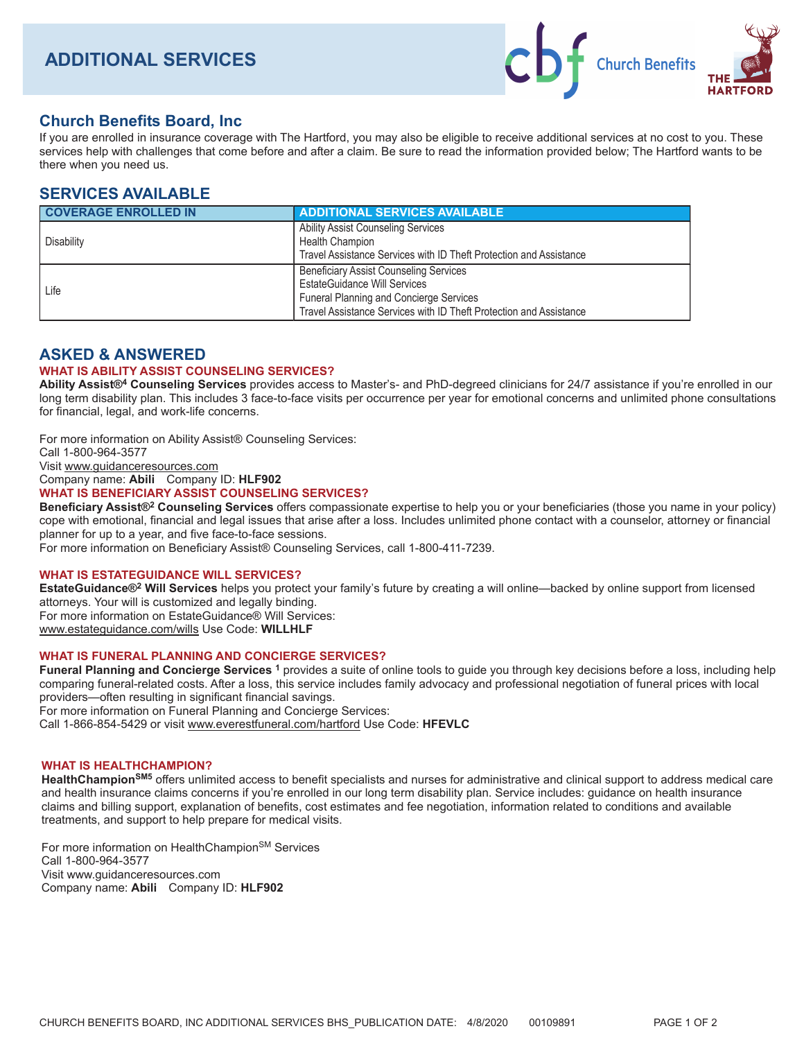

# **Church Benefits Board, Inc**

If you are enrolled in insurance coverage with The Hartford, you may also be eligible to receive additional services at no cost to you. These services help with challenges that come before and after a claim. Be sure to read the information provided below; The Hartford wants to be there when you need us.

## **SERVICES AVAILABLE**

| <b>COVERAGE ENROLLED IN</b> | <b>ADDITIONAL SERVICES AVAILABLE</b>                                                                                                                                                                         |
|-----------------------------|--------------------------------------------------------------------------------------------------------------------------------------------------------------------------------------------------------------|
| Disability                  | <b>Ability Assist Counseling Services</b><br><b>Health Champion</b><br>Travel Assistance Services with ID Theft Protection and Assistance                                                                    |
| Life                        | <b>Beneficiary Assist Counseling Services</b><br><b>EstateGuidance Will Services</b><br><b>Funeral Planning and Concierge Services</b><br>Travel Assistance Services with ID Theft Protection and Assistance |

## **ASKED & ANSWERED**

#### **WHAT IS ABILITY ASSIST COUNSELING SERVICES?**

Ability Assist®<sup>4</sup> Counseling Services provides access to Master's- and PhD-degreed clinicians for 24/7 assistance if you're enrolled in our long term disability plan. This includes 3 face-to-face visits per occurrence per year for emotional concerns and unlimited phone consultations for financial, legal, and work-life concerns.

For more information on Ability Assist® Counseling Services:

Call 1-800-964-3577

Visit www.guidanceresources.com

Company name: Abili Company ID: HLF902

#### **WHAT IS BENEFICIARY ASSIST COUNSELING SERVICES?**

Beneficiary Assist®<sup>2</sup> Counseling Services offers compassionate expertise to help you or your beneficiaries (those you name in your policy) cope with emotional, financial and legal issues that arise after a loss. Includes unlimited phone contact with a counselor, attorney or financial planner for up to a year, and five face-to-face sessions.

For more information on Beneficiary Assist® Counseling Services, call 1-800-411-7239.

## **WHAT IS ESTATEGUIDANCE WILL SERVICES?**

EstateGuidance®<sup>2</sup> Will Services helps you protect your family's future by creating a will online—backed by online support from licensed attorneys. Your will is customized and legally binding. For more information on EstateGuidance® Will Services:

www.estateguidance.com/wills Use Code: WILLHLF

## **WHAT IS FUNERAL PLANNING AND CONCIERGE SERVICES?**

Funeral Planning and Concierge Services 1 provides a suite of online tools to guide you through key decisions before a loss, including help comparing funeral-related costs. After a loss, this service includes family advocacy and professional negotiation of funeral prices with local providers—often resulting in significant financial savings. For more information on Funeral Planning and Concierge Services:

Call 1-866-854-5429 or visit www.everestfuneral.com/hartford Use Code: HFEVLC

## **WHAT IS HEALTHCHAMPION?**

HealthChampion<sup>SM5</sup> offers unlimited access to benefit specialists and nurses for administrative and clinical support to address medical care and health insurance claims concerns if you're enrolled in our long term disability plan. Service includes: guidance on health insurance claims and billing support, explanation of benefits, cost estimates and fee negotiation, information related to conditions and available treatments, and support to help prepare for medical visits.

For more information on HealthChampion<sup>SM</sup> Services Call 1-800-964-3577 Visit www.guidanceresources.com Company name: Abili Company ID: HLF902